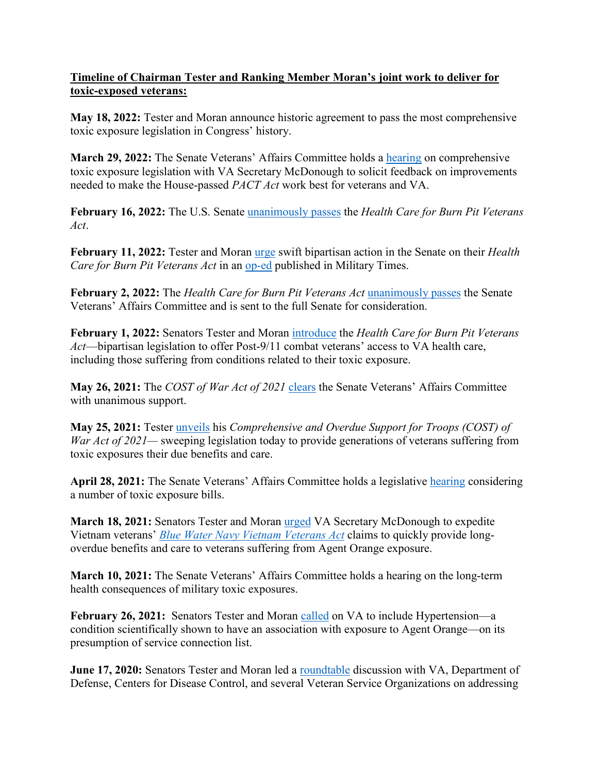## **Timeline of Chairman Tester and Ranking Member Moran's joint work to deliver for toxic-exposed veterans:**

**May 18, 2022:** Tester and Moran announce historic agreement to pass the most comprehensive toxic exposure legislation in Congress' history.

**March 29, 2022:** The Senate Veterans' Affairs Committee holds a [hearing](https://www.veterans.senate.gov/2022/3/at-hearing-with-va-secretary-mcdonough-tester-pushes-for-path-forward-on-comprehensive-toxic-exposure-legislation) on comprehensive toxic exposure legislation with VA Secretary McDonough to solicit feedback on improvements needed to make the House-passed *PACT Act* work best for veterans and VA.

**February 16, 2022:** The U.S. Senate [unanimously passes](https://www.veterans.senate.gov/2022/2/breaking-tester-moran-bill-to-expand-va-health-care-for-post-9-11-veterans-unanimously-clears-senate) the *Health Care for Burn Pit Veterans Act*.

**February 11, 2022:** Tester and Moran [urge](https://www.veterans.senate.gov/2022/2/icymi-in-op-ed-chairman-tester-and-ranking-member-moran-underscore-bipartisan-action-to-deliver-for-toxic-exposed-veterans) swift bipartisan action in the Senate on their *Health Care for Burn Pit Veterans Act* in an [op-ed](https://www.militarytimes.com/opinion/commentary/2022/02/10/paying-the-cost-of-war-through-bipartisan-action-not-words/) published in Military Times.

**February 2, 2022:** The *Health Care for Burn Pit Veterans Act* [unanimously passes](https://www.veterans.senate.gov/2022/2/committee-unanimously-passes-tester-moran-bill-to-provide-health-care-for-post-9-11-toxic-exposed-veterans) the Senate Veterans' Affairs Committee and is sent to the full Senate for consideration.

**February 1, 2022:** Senators Tester and Moran [introduce](https://www.veterans.senate.gov/2022/2/tester-moran-introduce-landmark-bill-to-provide-health-care-for-post-9-11-toxic-exposed-veterans) the *Health Care for Burn Pit Veterans Act*—bipartisan legislation to offer Post-9/11 combat veterans' access to VA health care, including those suffering from conditions related to their toxic exposure.

**May 26, 2021:** The *COST of War Act of 2021* [clears](https://www.veterans.senate.gov/2021/5/testers-historic-bill-to-deliver-health-care-and-benefits-to-toxic-exposure-veterans-of-all-generations-clears-committee-hurdle) the Senate Veterans' Affairs Committee with unanimous support.

**May 25, 2021:** Tester [unveils](https://www.veterans.senate.gov/2021/5/tester-unveils-historic-legislation-to-deliver-health-care-and-disability-benefits-to-toxic-exposure-veterans-of-all-generations) his *Comprehensive and Overdue Support for Troops (COST) of War Act of 2021—* sweeping legislation today to provide generations of veterans suffering from toxic exposures their due benefits and care.

April 28, 2021: The Senate Veterans' Affairs Committee holds a legislative **hearing** considering a number of toxic exposure bills.

**March 18, 2021:** Senators Tester and Moran [urged](https://www.veterans.senate.gov/newsroom/majority-news/tester-moran-urgently-call-on-va-to-immediately-expedite-vietnam-veterans-blue-water-navy-claims) VA Secretary McDonough to expedite Vietnam veterans' *[Blue Water Navy Vietnam Veterans Act](https://www.veterans.senate.gov/2019/6/trump-signs-testers-blue-water-navy-vietnam-veterans-act-into-law)* claims to quickly provide longoverdue benefits and care to veterans suffering from Agent Orange exposure.

**March 10, 2021:** The Senate Veterans' Affairs Committee holds a hearing on the long-term health consequences of military toxic exposures.

**February 26, 2021:** Senators Tester and Moran [called](https://www.veterans.senate.gov/2021/2/tester-moran-urge-decisive-action-from-va-on-including-hypertension-to-agent-orange-presumptive-conditions-list) on VA to include Hypertension—a condition scientifically shown to have an association with exposure to Agent Orange—on its presumption of service connection list.

**June 17, 2020:** Senators Tester and Moran led a [roundtable](https://www.veterans.senate.gov/2020/6/tester-holds-roundtable-discussion-with-administration-and-veterans-service-organization-leaders-on-toxic-exposure) discussion with VA, Department of Defense, Centers for Disease Control, and several Veteran Service Organizations on addressing